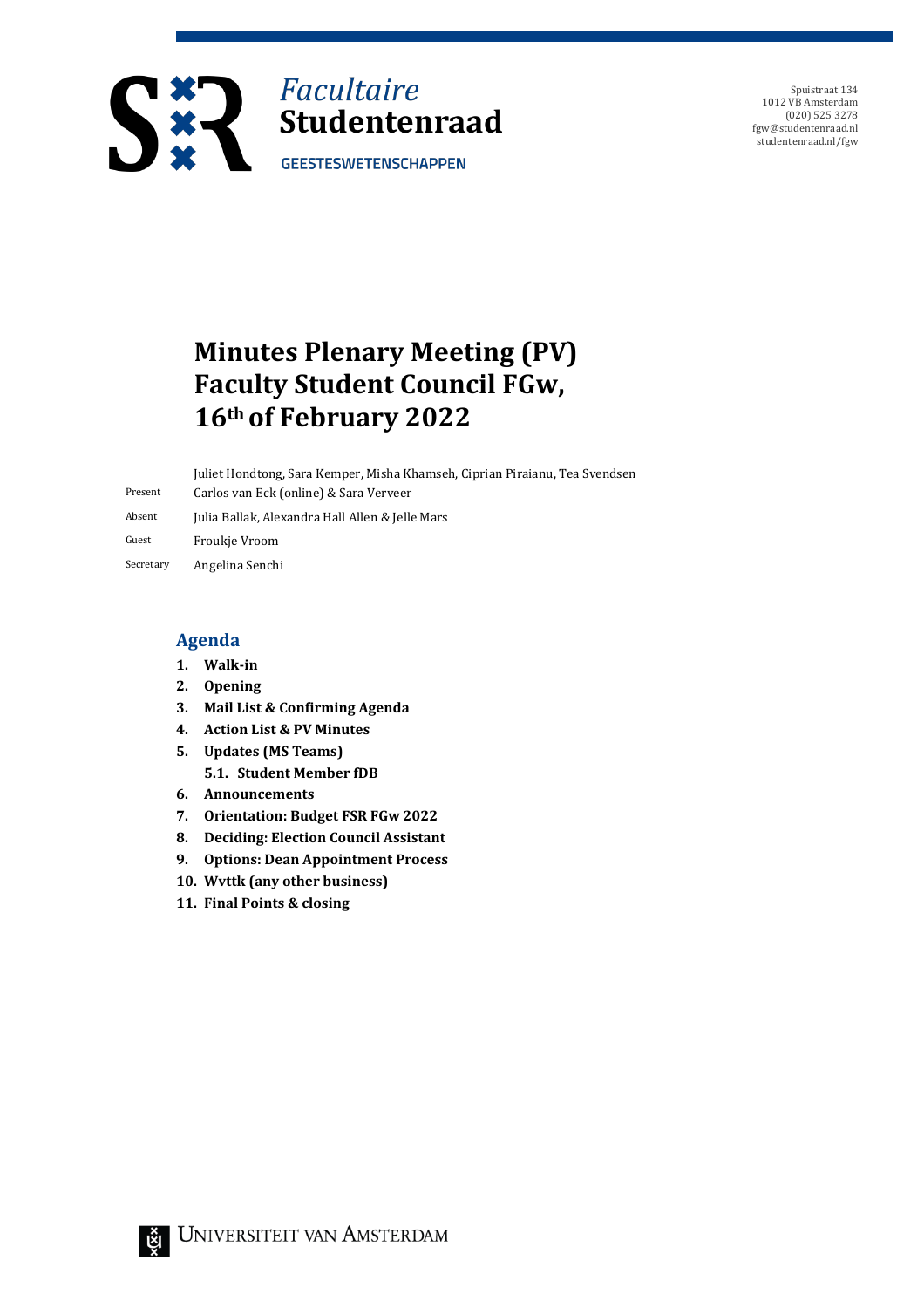

Spuistraat 134 1012 VB Amsterdam (020) 525 3278 fgw@studentenraad.nl studentenraad.nl/fgw

# **Minutes Plenary Meeting (PV) Faculty Student Council FGw, 16th of February 2022**

Present Juliet Hondtong, Sara Kemper, Misha Khamseh, Ciprian Piraianu, Tea Svendsen Carlos van Eck (online) & Sara Verveer Absent Julia Ballak, Alexandra Hall Allen & Jelle Mars Guest Froukje Vroom

Secretary Angelina Senchi

#### **Agenda**

- **1. Walk-in**
- **2. Opening**
- **3. Mail List & Confirming Agenda**
- **4. Action List & PV Minutes**
- **5. Updates (MS Teams)**
	- **5.1. Student Member fDB**
- **6. Announcements**
- **7. Orientation: Budget FSR FGw 2022**
- **8. Deciding: Election Council Assistant**
- **9. Options: Dean Appointment Process**
- **10. Wvttk (any other business)**
- **11. Final Points & closing**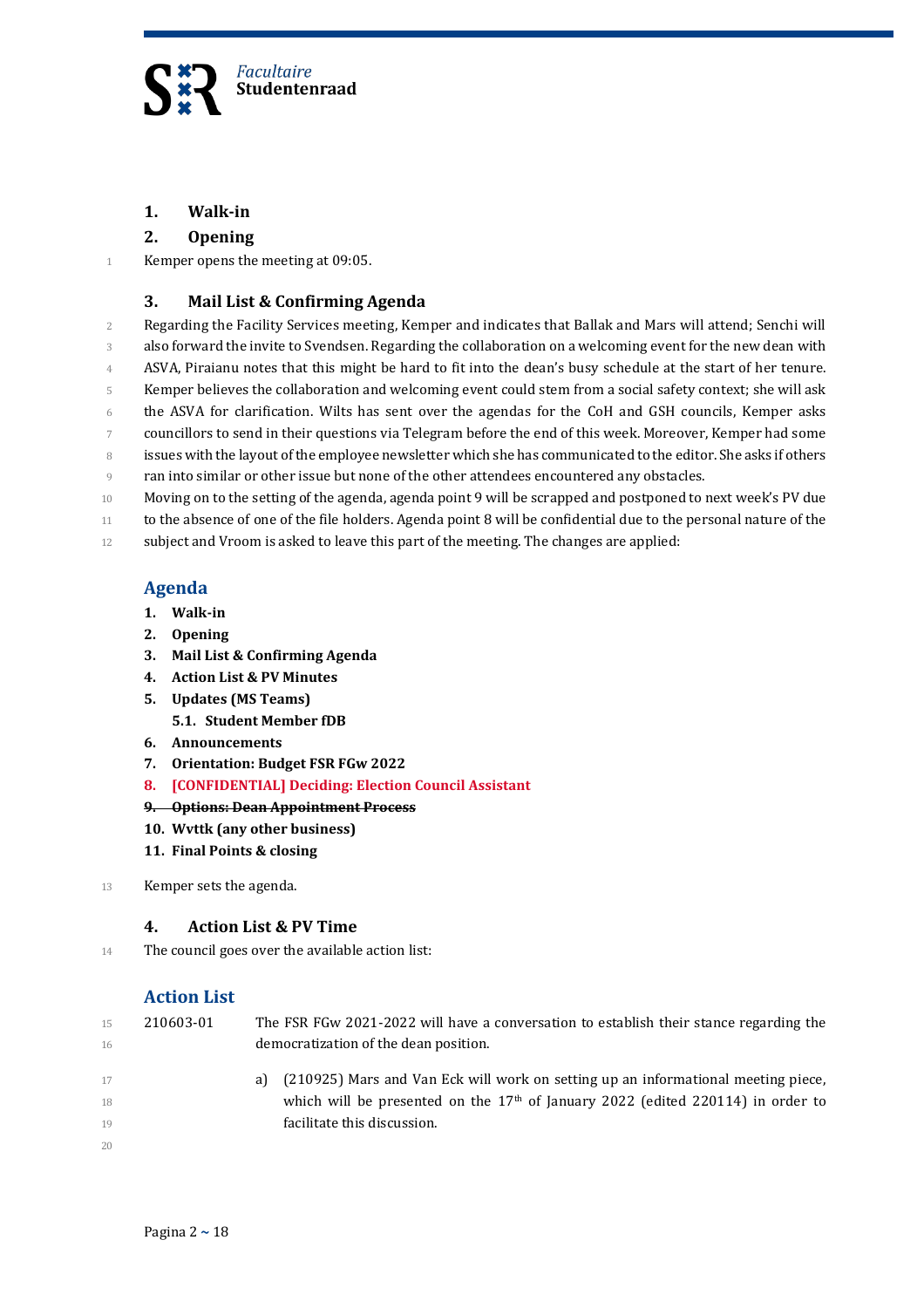

#### **1. Walk-in**

#### **2. Opening**

1 Kemper opens the meeting at 09:05.

#### **3. Mail List & Confirming Agenda**

 Regarding the Facility Services meeting, Kemper and indicates that Ballak and Mars will attend; Senchi will also forward the invite to Svendsen. Regarding the collaboration on a welcoming event for the new dean with 4 ASVA, Piraianu notes that this might be hard to fit into the dean's busy schedule at the start of her tenure. Kemper believes the collaboration and welcoming event could stem from a social safety context; she will ask the ASVA for clarification. Wilts has sent over the agendas for the CoH and GSH councils, Kemper asks councillors to send in their questions via Telegram before the end of this week. Moreover, Kemper had some 8 issues with the layout of the employee newsletter which she has communicated to the editor. She asks if others ran into similar or other issue but none of the other attendees encountered any obstacles. 10 Moving on to the setting of the agenda, agenda point 9 will be scrapped and postponed to next week's PV due to the absence of one of the file holders. Agenda point 8 will be confidential due to the personal nature of the subject and Vroom is asked to leave this part of the meeting. The changes are applied:

#### **Agenda**

- **1. Walk-in**
- **2. Opening**
- **3. Mail List & Confirming Agenda**
- **4. Action List & PV Minutes**
- **5. Updates (MS Teams) 5.1. Student Member fDB**
- **6. Announcements**
- **7. Orientation: Budget FSR FGw 2022**
- **8. [CONFIDENTIAL] Deciding: Election Council Assistant**
- **9. Options: Dean Appointment Process**
- **10. Wvttk (any other business)**
- **11. Final Points & closing**
- 13 Kemper sets the agenda.

#### **4. Action List & PV Time**

14 The council goes over the available action list:

#### **Action List**

| 15<br>16 | 210603-01 | The FSR FGw 2021-2022 will have a conversation to establish their stance regarding the<br>democratization of the dean position. |
|----------|-----------|---------------------------------------------------------------------------------------------------------------------------------|
| 17       |           | (210925) Mars and Van Eck will work on setting up an informational meeting piece,<br>a)                                         |
| 18       |           | which will be presented on the $17th$ of January 2022 (edited 220114) in order to                                               |
| 19       |           | facilitate this discussion.                                                                                                     |
| 20       |           |                                                                                                                                 |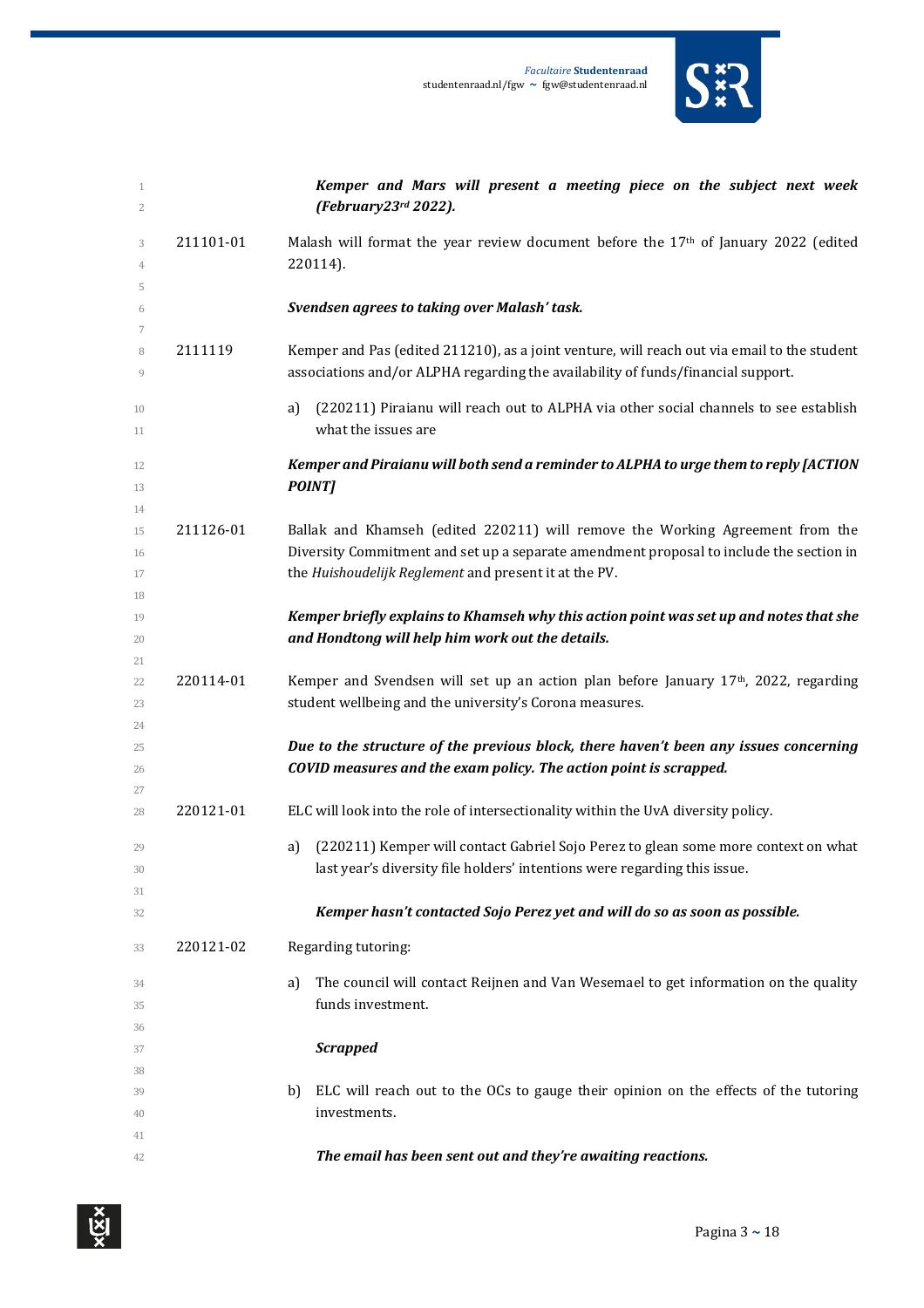|                   |           | <b>Facultaire Studentenraad</b><br>studentenraad.nl/fgw ~ fgw@studentenraad.nl                                                                                                  |
|-------------------|-----------|---------------------------------------------------------------------------------------------------------------------------------------------------------------------------------|
| $\mathbf{1}$<br>2 |           | Kemper and Mars will present a meeting piece on the subject next week<br>(February23rd 2022).                                                                                   |
| 3                 | 211101-01 | Malash will format the year review document before the $17th$ of January 2022 (edited                                                                                           |
| 4                 |           | 220114).                                                                                                                                                                        |
| 5                 |           |                                                                                                                                                                                 |
| 6                 |           | Svendsen agrees to taking over Malash' task.                                                                                                                                    |
| 7<br>8<br>9       | 2111119   | Kemper and Pas (edited 211210), as a joint venture, will reach out via email to the student<br>associations and/or ALPHA regarding the availability of funds/financial support. |
| 10                |           | (220211) Piraianu will reach out to ALPHA via other social channels to see establish<br>a)                                                                                      |
| 11                |           | what the issues are                                                                                                                                                             |
| 12                |           | Kemper and Piraianu will both send a reminder to ALPHA to urge them to reply [ACTION                                                                                            |
| 13                |           | <b>POINT</b>                                                                                                                                                                    |
| 14                |           |                                                                                                                                                                                 |
| 15                | 211126-01 | Ballak and Khamseh (edited 220211) will remove the Working Agreement from the                                                                                                   |
|                   |           |                                                                                                                                                                                 |

|    | 211126-01 | Ballak and Khamseh (edited 220211) will remove the Working Agreement from the           |
|----|-----------|-----------------------------------------------------------------------------------------|
| 16 |           | Diversity Commitment and set up a separate amendment proposal to include the section in |
|    |           | the <i>Huishoudelijk Reglement</i> and present it at the PV.                            |

#### *Kemper briefly explains to Khamseh why this action point was set up and notes that she and Hondtong will help him work out the details.*

 $220114-01$  Kemper and Svendsen will set up an action plan before January 17<sup>th</sup>, 2022, regarding 23 student wellbeing and the university's Corona measures.

#### *Due to the structure of the previous block, there haven't been any issues concerning COVID measures and the exam policy. The action point is scrapped.*

- 220121-01 ELC will look into the role of intersectionality within the UvA diversity policy.
- a) (220211) Kemper will contact Gabriel Sojo Perez to glean some more context on what **and also last year's diversity file holders' intentions were regarding this issue.**

#### *ǯ Perez yet and will do so as soon as possible.*

220121-02 Regarding tutoring:

 a) The council will contact Reijnen and Van Wesemael to get information on the quality funds investment.

#### *Scrapped*

39 b) ELC will reach out to the OCs to gauge their opinion on the effects of the tutoring investments.

#### **The email has been sent out and they're awaiting reactions.**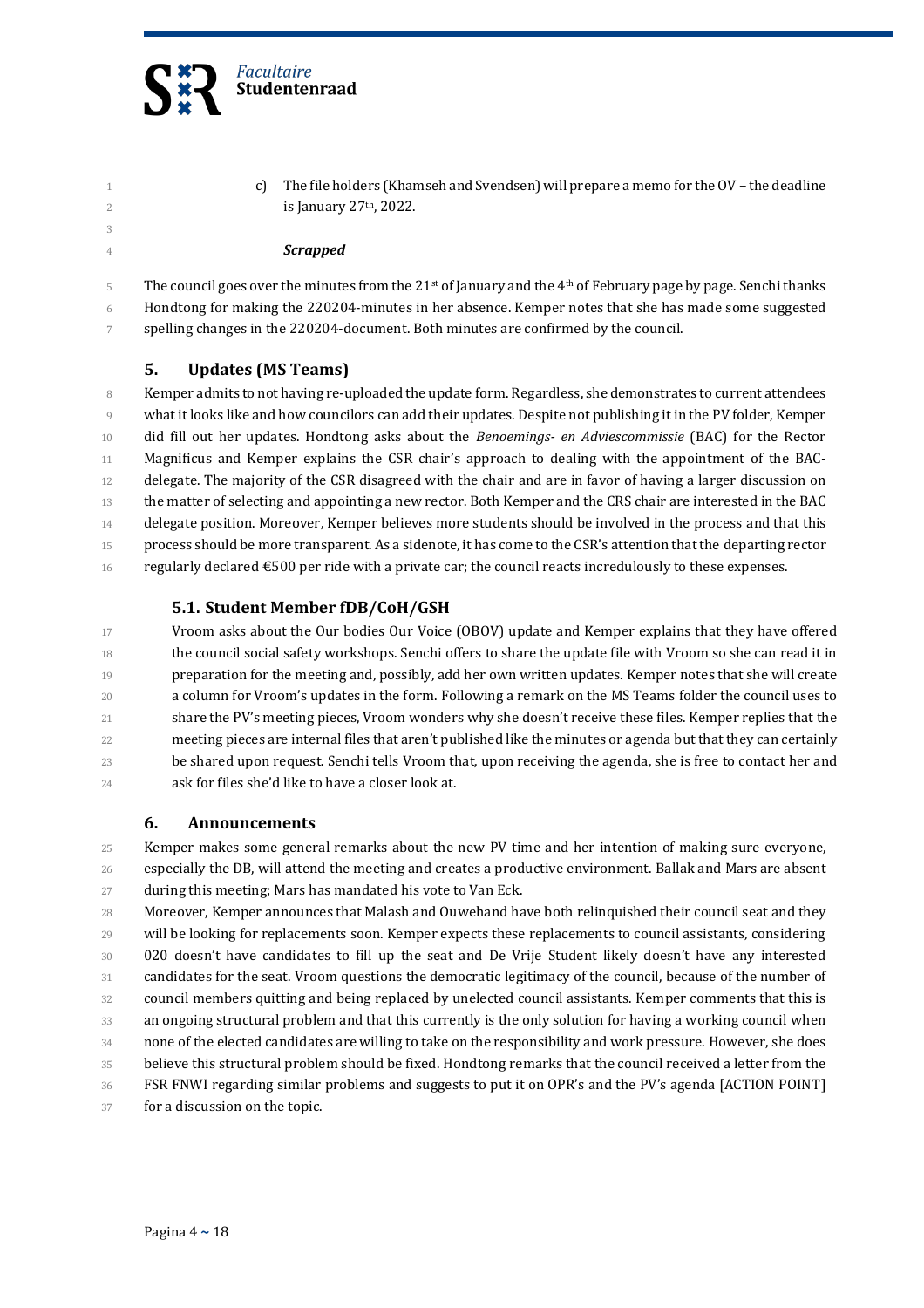

1 c) The file holders (Khamseh and Svendsen) will prepare a memo for the OV – the deadline  $\frac{2}{10}$  is January 27<sup>th</sup>, 2022.

#### *Scrapped*

5 The council goes over the minutes from the 21<sup>st</sup> of January and the 4<sup>th</sup> of February page by page. Senchi thanks Hondtong for making the 220204-minutes in her absence. Kemper notes that she has made some suggested spelling changes in the 220204-document. Both minutes are confirmed by the council.

#### **5. Updates (MS Teams)**

 Kemper admits to not having re-uploaded the update form. Regardless, she demonstrates to current attendees what it looks like and how councilors can add their updates. Despite not publishing it in the PV folder, Kemper did fill out her updates. Hondtong asks about the *Benoemings- en Adviescommissie* (BAC) for the Rector 11 Magnificus and Kemper explains the CSR chair's approach to dealing with the appointment of the BAC- delegate. The majority of the CSR disagreed with the chair and are in favor of having a larger discussion on the matter of selecting and appointing a new rector. Both Kemper and the CRS chair are interested in the BAC delegate position. Moreover, Kemper believes more students should be involved in the process and that this 15 process should be more transparent. As a sidenote, it has come to the CSR's attention that the departing rector 16 regularly declared €500 per ride with a private car; the council reacts incredulously to these expenses.

#### **5.1. Student Member fDB/CoH/GSH**

 Vroom asks about the Our bodies Our Voice (OBOV) update and Kemper explains that they have offered the council social safety workshops. Senchi offers to share the update file with Vroom so she can read it in preparation for the meeting and, possibly, add her own written updates. Kemper notes that she will create 20 a column for Vroom's updates in the form. Following a remark on the MS Teams folder the council uses to 21 share the PV's meeting pieces, Vroom wonders why she doesn't receive these files. Kemper replies that the 22 meeting pieces are internal files that aren't published like the minutes or agenda but that they can certainly be shared upon request. Senchi tells Vroom that, upon receiving the agenda, she is free to contact her and 24 ask for files she'd like to have a closer look at.

#### **6. Announcements**

 Kemper makes some general remarks about the new PV time and her intention of making sure everyone, especially the DB, will attend the meeting and creates a productive environment. Ballak and Mars are absent during this meeting; Mars has mandated his vote to Van Eck.

 Moreover, Kemper announces that Malash and Ouwehand have both relinquished their council seat and they will be looking for replacements soon. Kemper expects these replacements to council assistants, considering 30 020 doesn't have candidates to fill up the seat and De Vrije Student likely doesn't have any interested candidates for the seat. Vroom questions the democratic legitimacy of the council, because of the number of council members quitting and being replaced by unelected council assistants. Kemper comments that this is an ongoing structural problem and that this currently is the only solution for having a working council when none of the elected candidates are willing to take on the responsibility and work pressure. However, she does believe this structural problem should be fixed. Hondtong remarks that the council received a letter from the 36 FSR FNWI regarding similar problems and suggests to put it on OPR's and the PV's agenda [ACTION POINT] for a discussion on the topic.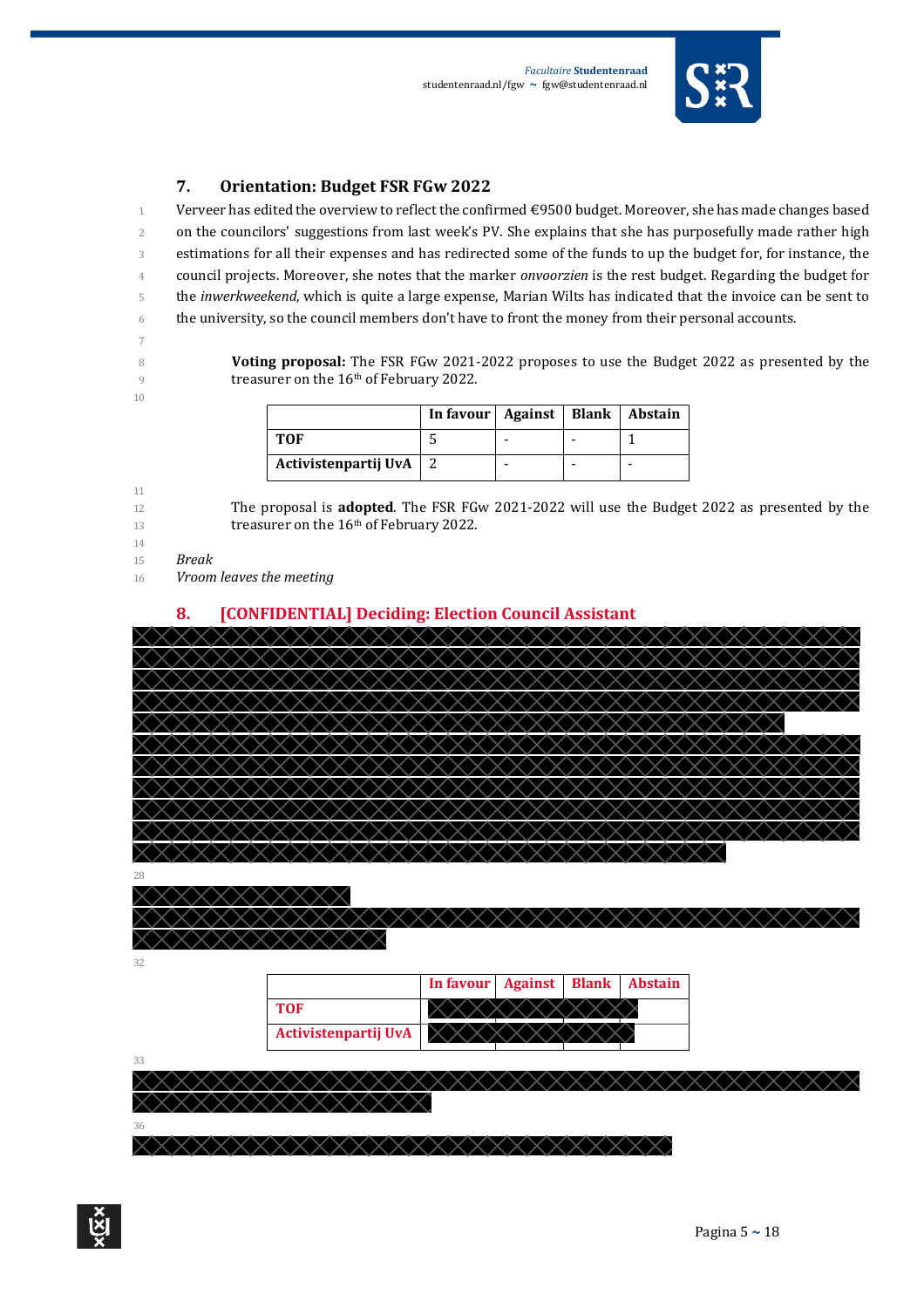

#### **7. Orientation: Budget FSR FGw 2022**

1 Verveer has edited the overview to reflect the confirmed €9500 budget. Moreover, she has made changes based 2 on the councilors' suggestions from last week's PV. She explains that she has purposefully made rather high 3 estimations for all their expenses and has redirected some of the funds to up the budget for, for instance, the 4 council projects. Moreover, she notes that the marker *onvoorzien* is the rest budget. Regarding the budget for 5 the *inwerkweekend*, which is quite a large expense, Marian Wilts has indicated that the invoice can be sent to 6 the university, so the council members don't have to front the money from their personal accounts.

- 7
- 
- 10

11

8 **Voting proposal:** The FSR FGw 2021-2022 proposes to use the Budget 2022 as presented by the  $\frac{9}{9}$  treasurer on the 16<sup>th</sup> of February 2022.

|                      | In favour   Against   Blank   Abstain |  |  |
|----------------------|---------------------------------------|--|--|
| <b>TOF</b>           |                                       |  |  |
| Activistenpartij UvA |                                       |  |  |

- 12 The proposal is **adopted**. The FSR FGw 2021-2022 will use the Budget 2022 as presented by the 13 treasurer on the 16<sup>th</sup> of February 2022.
- 14
- 15 *Break*
- 16 *Vroom leaves the meeting*

#### **8. [CONFIDENTIAL] Deciding: Election Council Assistant**



x x x x x x x x x x x x

32

|                      | In favour   Against   Blank   Abstain |  |  |
|----------------------|---------------------------------------|--|--|
| <b>TOF</b>           |                                       |  |  |
| Activistenpartij UvA |                                       |  |  |

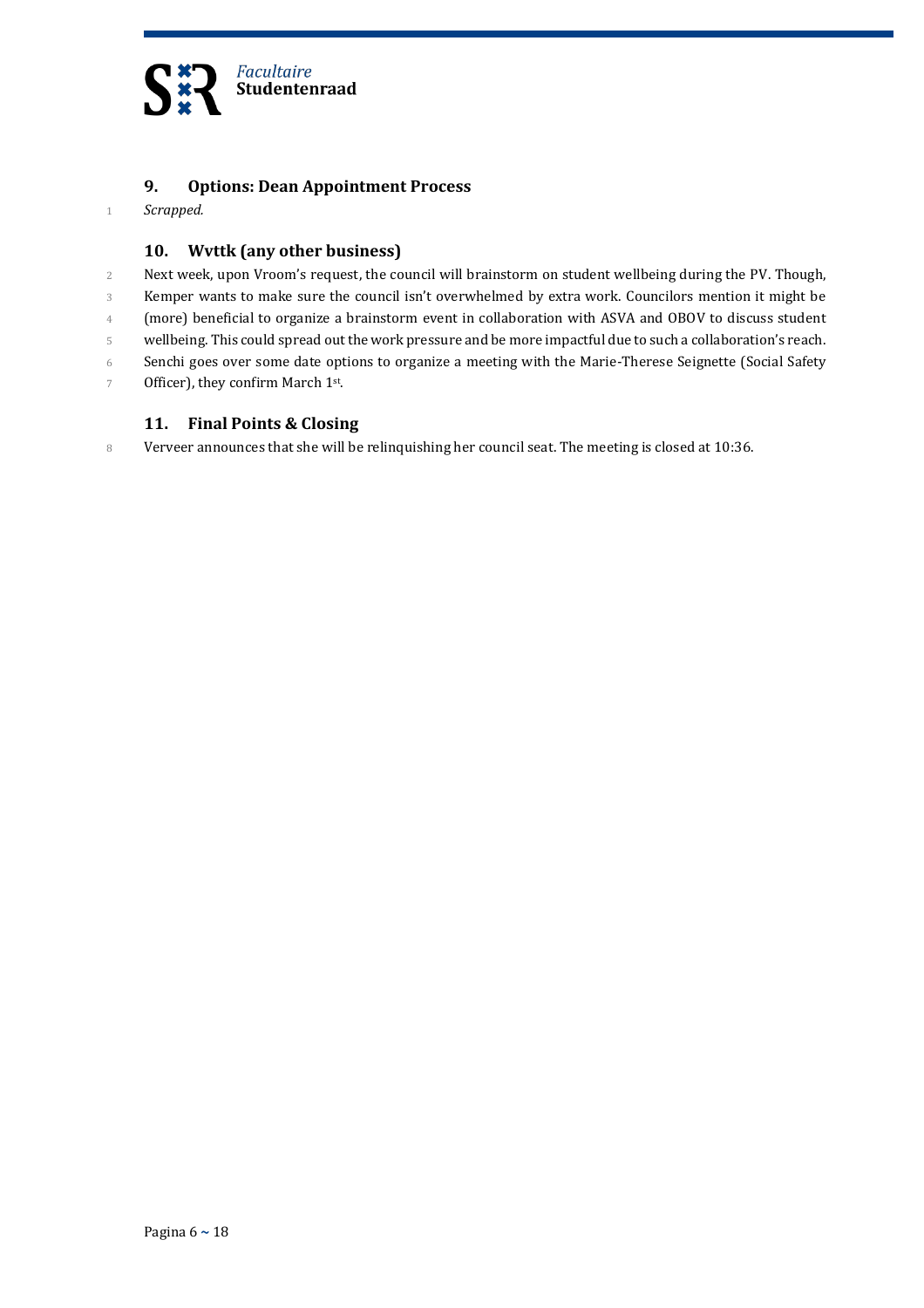

#### **9. Options: Dean Appointment Process**

1 *Scrapped.*

#### **10. Wvttk (any other business)**

- 2 Next week, upon Vroom's request, the council will brainstorm on student wellbeing during the PV. Though,
- 3 Kemper wants to make sure the council isn't overwhelmed by extra work. Councilors mention it might be
- 4 (more) beneficial to organize a brainstorm event in collaboration with ASVA and OBOV to discuss student
- 5 wellbeing. This could spread out the work pressure and be more impactful due to such a collaboration's reach.
- 6 Senchi goes over some date options to organize a meeting with the Marie-Therese Seignette (Social Safety
- 7 Officer), they confirm March  $1<sup>st</sup>$ .

#### **11. Final Points & Closing**

8 Verveer announces that she will be relinquishing her council seat. The meeting is closed at 10:36.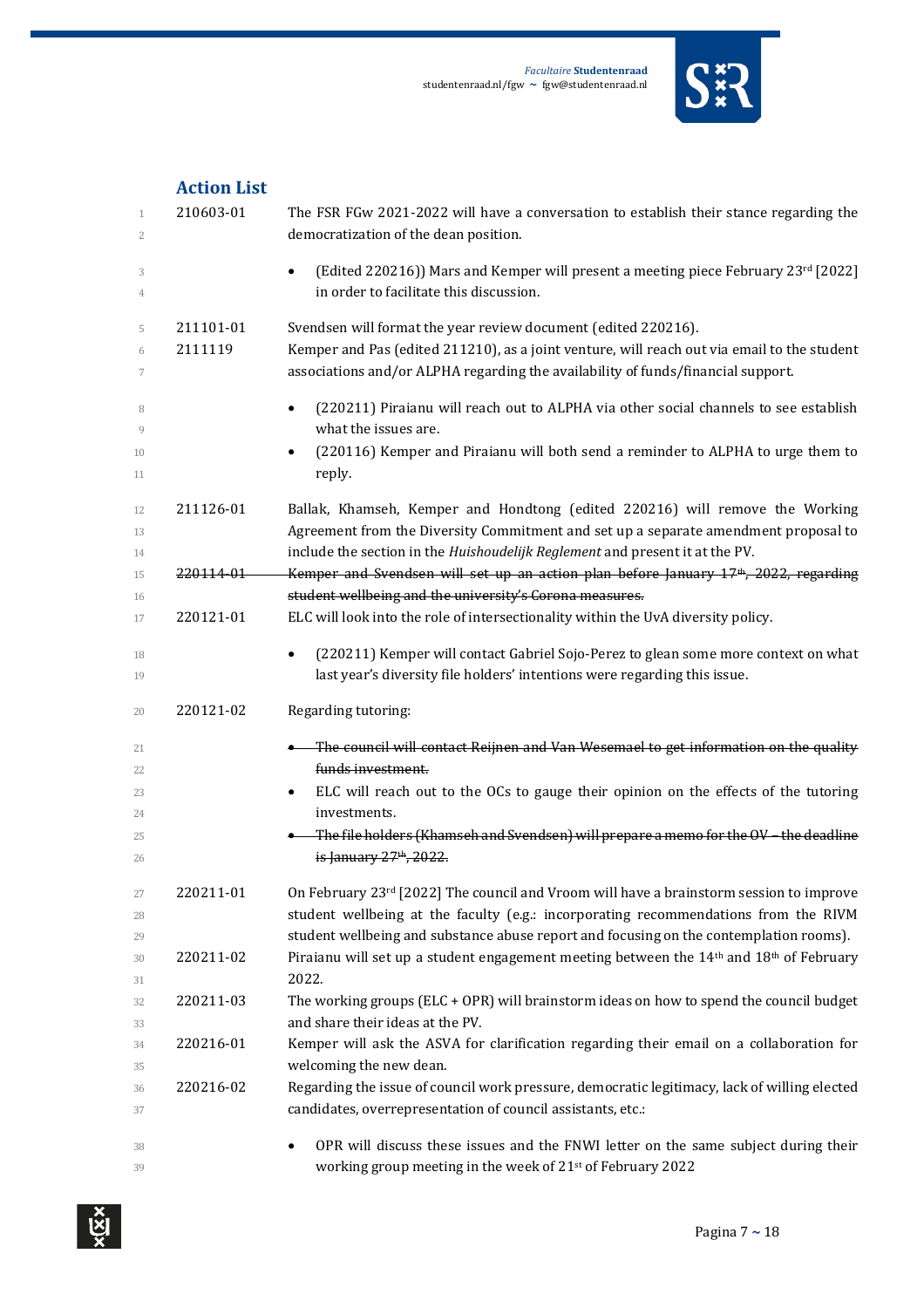

| <b>Action List</b> |  |
|--------------------|--|
|                    |  |

| $\mathbf 1$<br>2 | 210603-01 | The FSR FGw 2021-2022 will have a conversation to establish their stance regarding the<br>democratization of the dean position.                                                 |
|------------------|-----------|---------------------------------------------------------------------------------------------------------------------------------------------------------------------------------|
| 3<br>4           |           | [Edited 220216]) Mars and Kemper will present a meeting piece February 23rd [2022]<br>in order to facilitate this discussion.                                                   |
| 5                | 211101-01 | Svendsen will format the year review document (edited 220216).                                                                                                                  |
| 6<br>7           | 2111119   | Kemper and Pas (edited 211210), as a joint venture, will reach out via email to the student<br>associations and/or ALPHA regarding the availability of funds/financial support. |
| 8<br>9           |           | (220211) Piraianu will reach out to ALPHA via other social channels to see establish<br>what the issues are.                                                                    |
| 10<br>11         |           | (220116) Kemper and Piraianu will both send a reminder to ALPHA to urge them to<br>reply.                                                                                       |
| 12               | 211126-01 | Ballak, Khamseh, Kemper and Hondtong (edited 220216) will remove the Working                                                                                                    |
| 13               |           | Agreement from the Diversity Commitment and set up a separate amendment proposal to                                                                                             |
| 14               |           | include the section in the Huishoudelijk Reglement and present it at the PV.                                                                                                    |
| 15<br>16         | 220114-01 | Kemper and Svendsen will set up an action plan before January 17 <sup>th</sup> , 2022, regarding<br>student wellbeing and the university's Corona measures.                     |
| 17               | 220121-01 | ELC will look into the role of intersectionality within the UvA diversity policy.                                                                                               |
| 18               |           | (220211) Kemper will contact Gabriel Sojo-Perez to glean some more context on what                                                                                              |
| 19               |           | last year's diversity file holders' intentions were regarding this issue.                                                                                                       |
|                  |           |                                                                                                                                                                                 |
| 20               | 220121-02 | Regarding tutoring:                                                                                                                                                             |
| 21               |           | <b>•</b> The council will contact Reijnen and Van Wesemael to get information on the quality                                                                                    |
| 22               |           | funds investment.                                                                                                                                                               |
| 23               |           | ELC will reach out to the OCs to gauge their opinion on the effects of the tutoring                                                                                             |
| 24               |           | investments.                                                                                                                                                                    |
| 25<br>26         |           | The file holders (Khamseh and Svendsen) will prepare a memo for the OV-the deadline<br>is January 27 <sup>th</sup> , 2022.                                                      |
| 27               | 220211-01 | On February 23rd [2022] The council and Vroom will have a brainstorm session to improve                                                                                         |
| 28               |           | student wellbeing at the faculty (e.g.: incorporating recommendations from the RIVM                                                                                             |
| 29               |           | student wellbeing and substance abuse report and focusing on the contemplation rooms).                                                                                          |
| 30               | 220211-02 | Piraianu will set up a student engagement meeting between the $14th$ and $18th$ of February                                                                                     |
| 31<br>32         | 220211-03 | 2022.<br>The working groups (ELC + OPR) will brainstorm ideas on how to spend the council budget                                                                                |
| 33               |           | and share their ideas at the PV.                                                                                                                                                |
| 34               | 220216-01 | Kemper will ask the ASVA for clarification regarding their email on a collaboration for                                                                                         |
| 35               |           | welcoming the new dean.                                                                                                                                                         |
| 36<br>37         | 220216-02 | Regarding the issue of council work pressure, democratic legitimacy, lack of willing elected<br>candidates, overrepresentation of council assistants, etc.:                     |
| 38               |           | OPR will discuss these issues and the FNWI letter on the same subject during their                                                                                              |

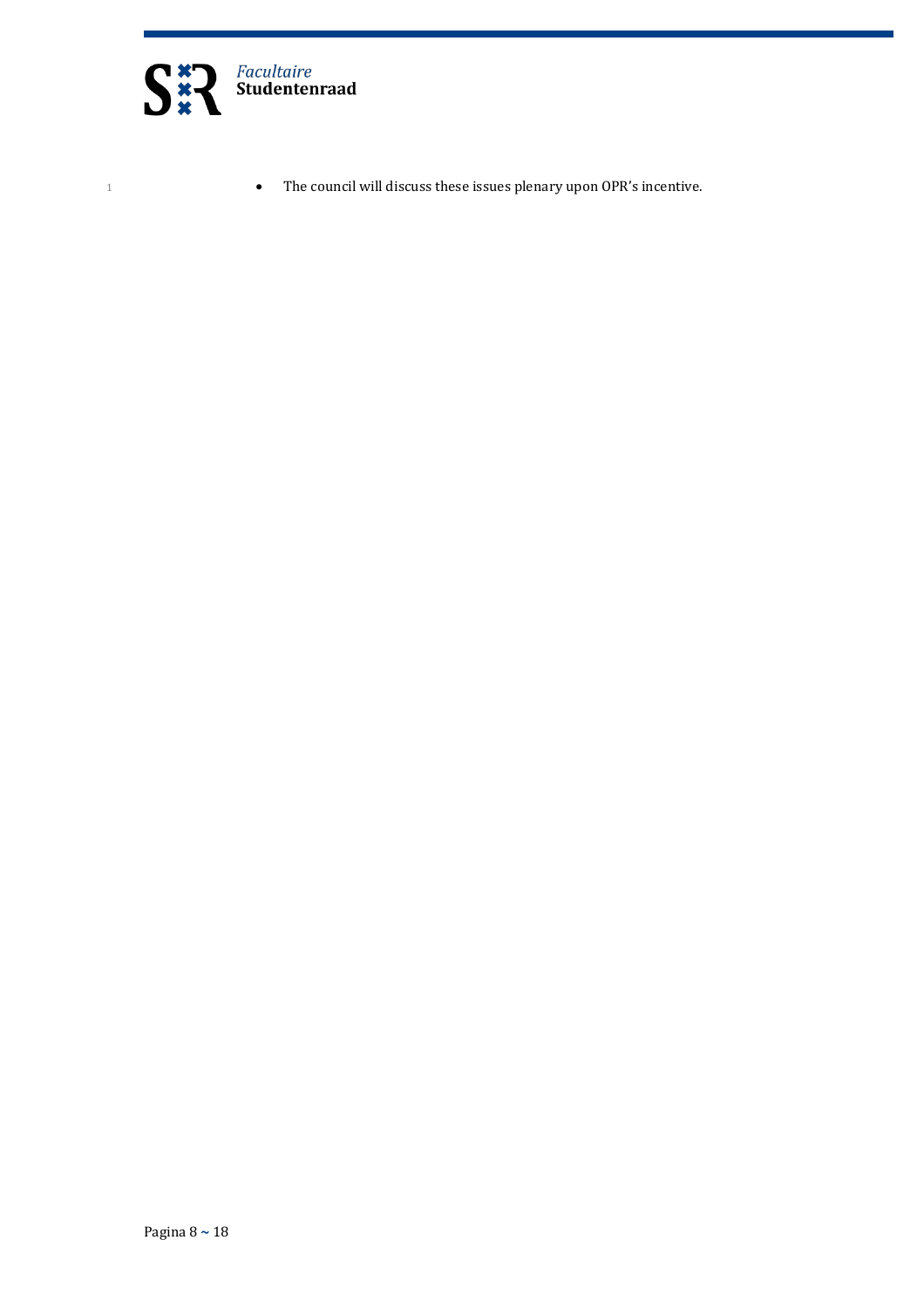

1 **b** The council will discuss these issues plenary upon OPR's incentive.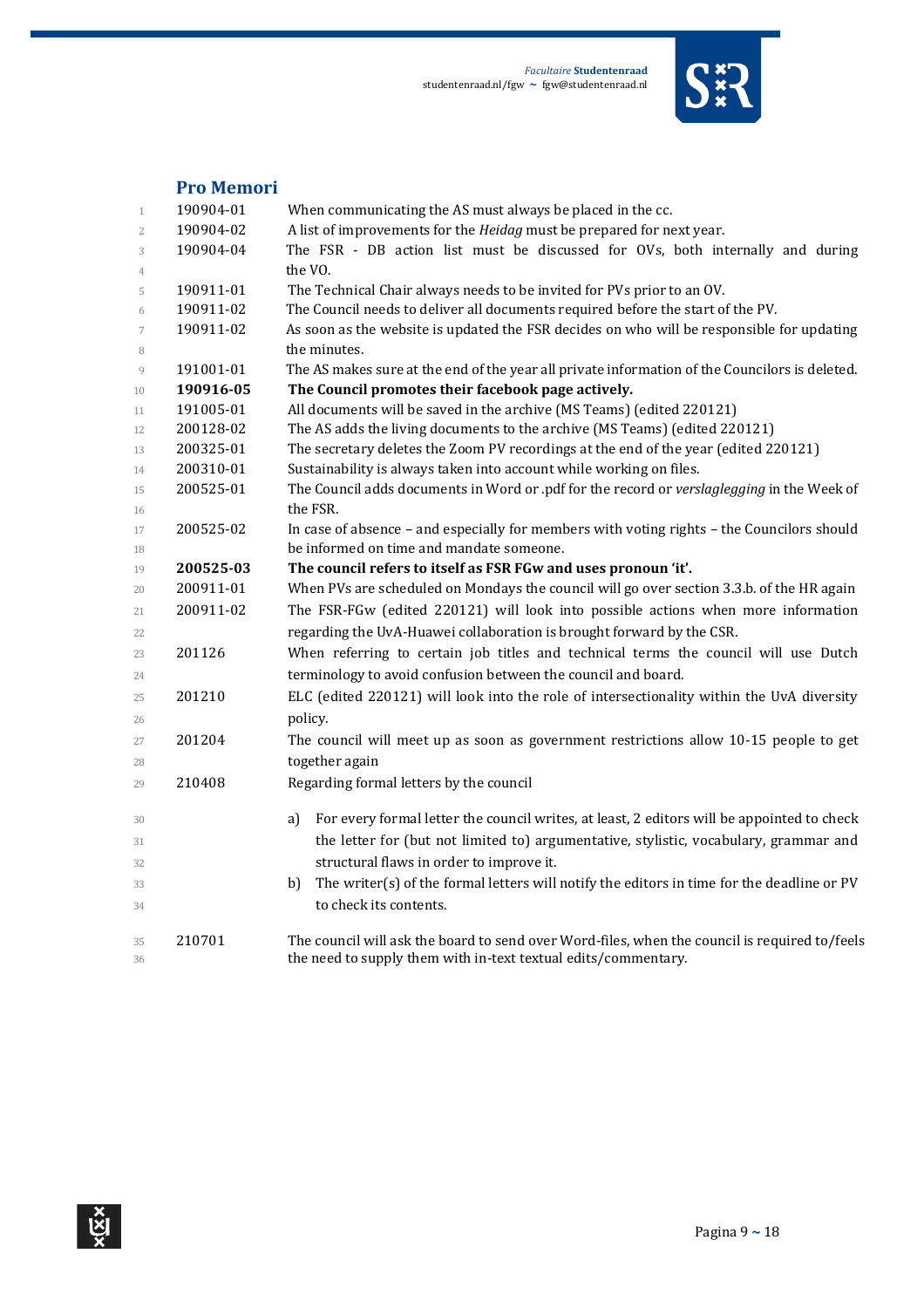

### **Pro Memori**

| $\mathbf{1}$             | 190904-01 | When communicating the AS must always be placed in the cc.                                       |
|--------------------------|-----------|--------------------------------------------------------------------------------------------------|
| $\overline{2}$           | 190904-02 | A list of improvements for the Heidag must be prepared for next year.                            |
| 3                        | 190904-04 | The FSR - DB action list must be discussed for OVs, both internally and during                   |
| 4                        |           | the VO.                                                                                          |
| 5                        | 190911-01 | The Technical Chair always needs to be invited for PVs prior to an OV.                           |
| 6                        | 190911-02 | The Council needs to deliver all documents required before the start of the PV.                  |
| $\overline{\phantom{a}}$ | 190911-02 | As soon as the website is updated the FSR decides on who will be responsible for updating        |
| 8                        |           | the minutes.                                                                                     |
| 9                        | 191001-01 | The AS makes sure at the end of the year all private information of the Councilors is deleted.   |
| 10                       | 190916-05 | The Council promotes their facebook page actively.                                               |
| 11                       | 191005-01 | All documents will be saved in the archive (MS Teams) (edited 220121)                            |
| 12                       | 200128-02 | The AS adds the living documents to the archive (MS Teams) (edited 220121)                       |
| 13                       | 200325-01 | The secretary deletes the Zoom PV recordings at the end of the year (edited 220121)              |
| 14                       | 200310-01 | Sustainability is always taken into account while working on files.                              |
| 15                       | 200525-01 | The Council adds documents in Word or .pdf for the record or verslaglegging in the Week of       |
| 16                       |           | the FSR.                                                                                         |
| 17                       | 200525-02 | In case of absence - and especially for members with voting rights - the Councilors should       |
| 18                       |           | be informed on time and mandate someone.                                                         |
| 19                       | 200525-03 | The council refers to itself as FSR FGw and uses pronoun 'it'.                                   |
| 20                       | 200911-01 | When PVs are scheduled on Mondays the council will go over section 3.3.b. of the HR again        |
| 21                       | 200911-02 | The FSR-FGw (edited 220121) will look into possible actions when more information                |
| 22                       |           | regarding the UvA-Huawei collaboration is brought forward by the CSR.                            |
| 23                       | 201126    | When referring to certain job titles and technical terms the council will use Dutch              |
| 24                       |           | terminology to avoid confusion between the council and board.                                    |
| 25                       | 201210    | ELC (edited 220121) will look into the role of intersectionality within the UvA diversity        |
| 26                       |           | policy.                                                                                          |
| 27                       | 201204    | The council will meet up as soon as government restrictions allow 10-15 people to get            |
| 28                       |           | together again                                                                                   |
| 29                       | 210408    | Regarding formal letters by the council                                                          |
|                          |           | For every formal letter the council writes, at least, 2 editors will be appointed to check<br>a) |
| 30                       |           |                                                                                                  |
| 31                       |           | the letter for (but not limited to) argumentative, stylistic, vocabulary, grammar and            |
| 32                       |           | structural flaws in order to improve it.                                                         |
| 33                       |           | The writer(s) of the formal letters will notify the editors in time for the deadline or PV<br>b) |
| 34                       |           | to check its contents.                                                                           |
| 35                       | 210701    | The council will ask the board to send over Word-files, when the council is required to/feels    |
| 36                       |           | the need to supply them with in-text textual edits/commentary.                                   |
|                          |           |                                                                                                  |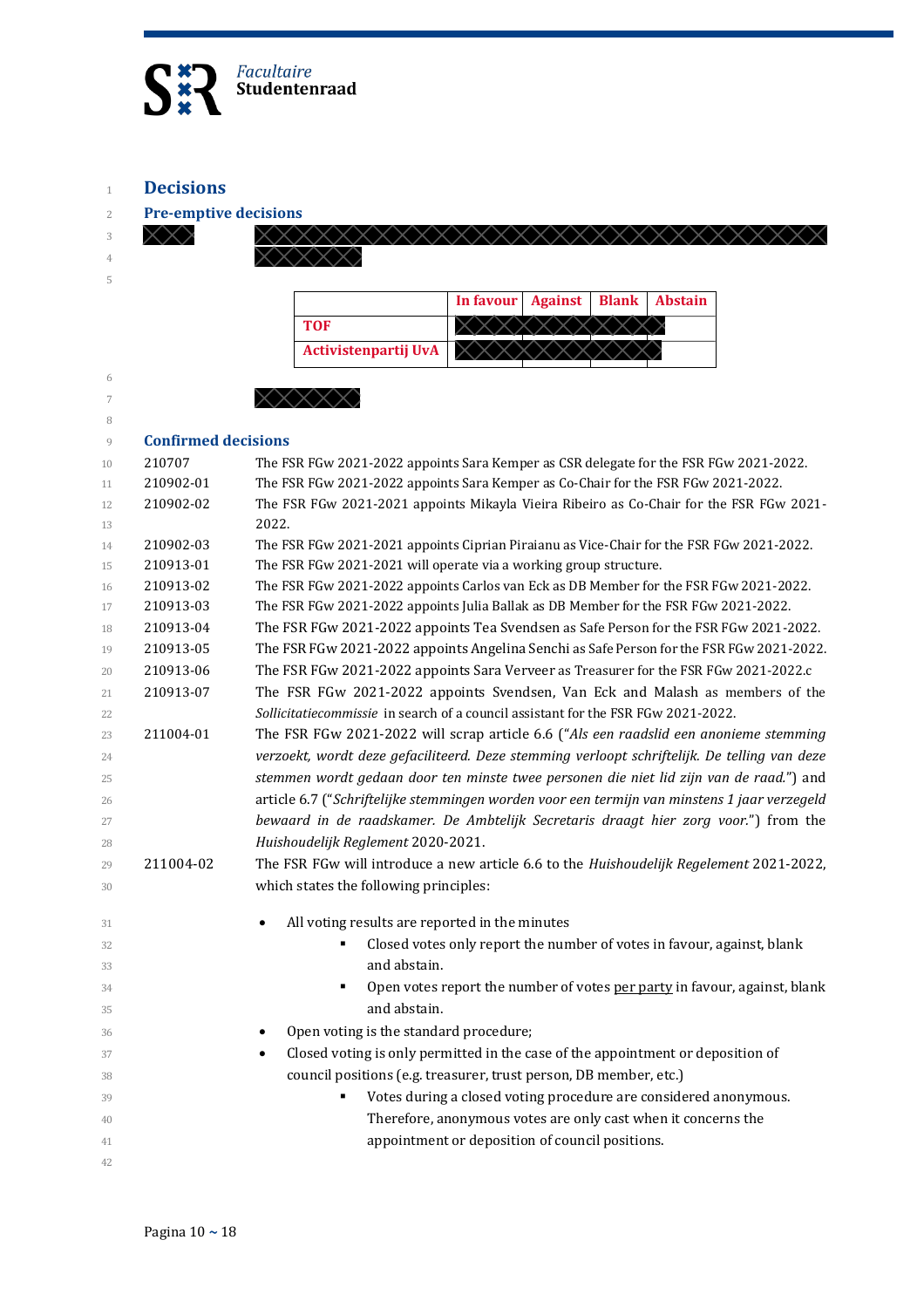

**Decisions**

**Pre-emptive decisions** 

| <b>Pre-employe decisions</b> |           |                                                                                              |           |                |              |                |
|------------------------------|-----------|----------------------------------------------------------------------------------------------|-----------|----------------|--------------|----------------|
|                              |           |                                                                                              |           |                |              |                |
|                              |           |                                                                                              |           |                |              |                |
|                              |           |                                                                                              | In favour | <b>Against</b> | <b>Blank</b> | <b>Abstain</b> |
|                              |           | <b>TOF</b>                                                                                   |           |                |              |                |
|                              |           | <b>Activistenpartij UvA</b>                                                                  |           |                |              |                |
|                              |           |                                                                                              |           |                |              |                |
|                              | XXXXX     |                                                                                              |           |                |              |                |
|                              |           |                                                                                              |           |                |              |                |
| <b>Confirmed decisions</b>   |           |                                                                                              |           |                |              |                |
| 210707                       |           | The FSR FGw 2021-2022 appoints Sara Kemper as CSR delegate for the FSR FGw 2021-2022.        |           |                |              |                |
| 210902-01                    |           | The FSR FGw 2021-2022 appoints Sara Kemper as Co-Chair for the FSR FGw 2021-2022.            |           |                |              |                |
| 210902-02                    |           | The FSR FGw 2021-2021 appoints Mikayla Vieira Ribeiro as Co-Chair for the FSR FGw 2021-      |           |                |              |                |
|                              | 2022.     |                                                                                              |           |                |              |                |
| 210902-03                    |           | The FSR FGw 2021-2021 appoints Ciprian Piraianu as Vice-Chair for the FSR FGw 2021-2022.     |           |                |              |                |
| 210913-01                    |           | The FSR FGw 2021-2021 will operate via a working group structure.                            |           |                |              |                |
| 210913-02                    |           | The FSR FGw 2021-2022 appoints Carlos van Eck as DB Member for the FSR FGw 2021-2022.        |           |                |              |                |
| 210913-03                    |           | The FSR FGw 2021-2022 appoints Julia Ballak as DB Member for the FSR FGw 2021-2022.          |           |                |              |                |
| 210913-04                    |           | The FSR FGw 2021-2022 appoints Tea Svendsen as Safe Person for the FSR FGw 2021-2022.        |           |                |              |                |
| 210913-05                    |           | The FSR FGw 2021-2022 appoints Angelina Senchi as Safe Person for the FSR FGw 2021-2022.     |           |                |              |                |
| 210913-06                    |           | The FSR FGw 2021-2022 appoints Sara Verveer as Treasurer for the FSR FGw 2021-2022.c         |           |                |              |                |
| 210913-07                    |           | The FSR FGw 2021-2022 appoints Svendsen, Van Eck and Malash as members of the                |           |                |              |                |
|                              |           | Sollicitatiecommissie in search of a council assistant for the FSR FGw 2021-2022.            |           |                |              |                |
| 211004-01                    |           | The FSR FGw 2021-2022 will scrap article 6.6 ("Als een raadslid een anonieme stemming        |           |                |              |                |
|                              |           | verzoekt, wordt deze gefaciliteerd. Deze stemming verloopt schriftelijk. De telling van deze |           |                |              |                |
|                              |           | stemmen wordt gedaan door ten minste twee personen die niet lid zijn van de raad.") and      |           |                |              |                |
|                              |           | article 6.7 ("Schriftelijke stemmingen worden voor een termijn van minstens 1 jaar verzegeld |           |                |              |                |
|                              |           | bewaard in de raadskamer. De Ambtelijk Secretaris draagt hier zorg voor.") from the          |           |                |              |                |
|                              |           | Huishoudelijk Reglement 2020-2021.                                                           |           |                |              |                |
| 211004-02                    |           | The FSR FGw will introduce a new article 6.6 to the Huishoudelijk Regelement 2021-2022,      |           |                |              |                |
|                              |           | which states the following principles:                                                       |           |                |              |                |
|                              |           | All voting results are reported in the minutes                                               |           |                |              |                |
|                              |           | Closed votes only report the number of votes in favour, against, blank                       |           |                |              |                |
|                              |           | and abstain.                                                                                 |           |                |              |                |
|                              |           | Open votes report the number of votes per party in favour, against, blank<br>٠               |           |                |              |                |
|                              |           | and abstain.                                                                                 |           |                |              |                |
|                              |           | Open voting is the standard procedure;                                                       |           |                |              |                |
|                              | $\bullet$ | Closed voting is only permitted in the case of the appointment or deposition of              |           |                |              |                |
|                              |           | council positions (e.g. treasurer, trust person, DB member, etc.)                            |           |                |              |                |
|                              |           | Votes during a closed voting procedure are considered anonymous.<br>٠                        |           |                |              |                |
|                              |           | Therefore, anonymous votes are only cast when it concerns the                                |           |                |              |                |
|                              |           | appointment or deposition of council positions.                                              |           |                |              |                |
|                              |           |                                                                                              |           |                |              |                |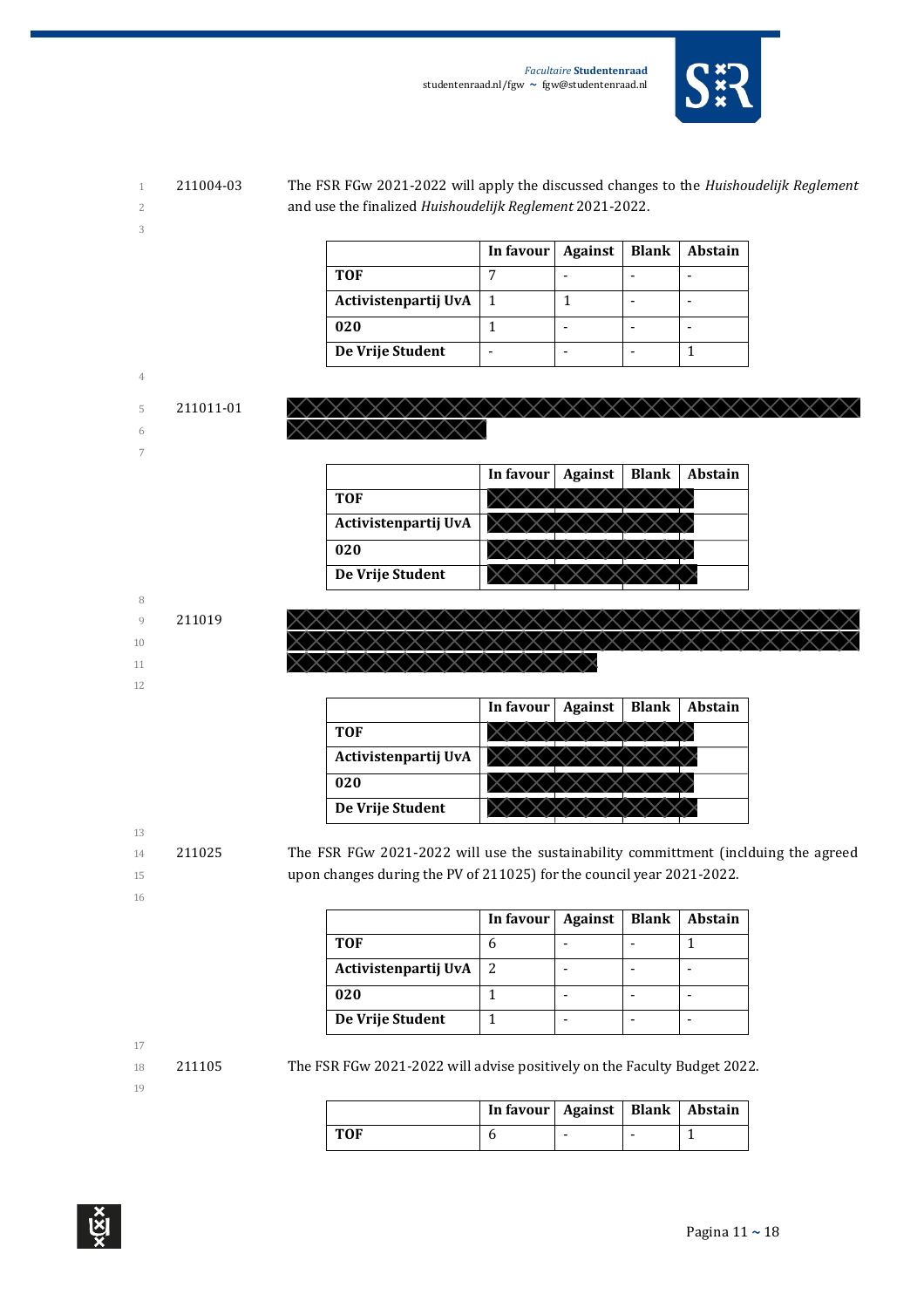

1 211004-03 The FSR FGw 2021-2022 will apply the discussed changes to the *Huishoudelijk Reglement*  2 and use the finalized *Huishoudelijk Reglement* 2021-2022.

> **In favour Against | Blank | Abstain TOF** 7 - - - **Activistenpartij UvA** 1 1 - - **020**  $\begin{vmatrix} 1 & \cdot & \cdot & \cdot \end{vmatrix}$  -  $\begin{vmatrix} - & \cdot & \cdot & \cdot \end{vmatrix}$ **De Vrije Student** | - | - | - | 1



|                      | In favour $\vert$ | Against | <b>Blank</b> | Abstain |
|----------------------|-------------------|---------|--------------|---------|
| <b>TOF</b>           |                   |         |              |         |
| Activistenpartij UvA |                   |         |              |         |
| 020                  |                   |         |              |         |
| De Vrije Student     |                   |         |              |         |



|                      | In favour | <b>Against</b> | <b>Blank</b> | Abstain |
|----------------------|-----------|----------------|--------------|---------|
| <b>TOF</b>           |           |                |              |         |
| Activistenpartij UvA |           |                |              |         |
| 020                  |           |                |              |         |
| De Vrije Student     |           |                |              |         |

13

3

4

6 7

8

10

12

- 
- 16

14 211025 The FSR FGw 2021-2022 will use the sustainability committment (inclduing the agreed 15 upon changes during the PV of 211025) for the council year 2021-2022.

|                      | In favour   Against | <b>Blank</b> | <b>Abstain</b> |
|----------------------|---------------------|--------------|----------------|
| <b>TOF</b>           |                     |              |                |
| Activistenpartij UvA |                     |              |                |
| 020                  |                     |              |                |
| De Vrije Student     |                     |              |                |

18 211105 The FSR FGw 2021-2022 will advise positively on the Faculty Budget 2022.

|     | In favour   Against   Blank   Abstain |  |  |
|-----|---------------------------------------|--|--|
| TOF |                                       |  |  |



<sup>17</sup>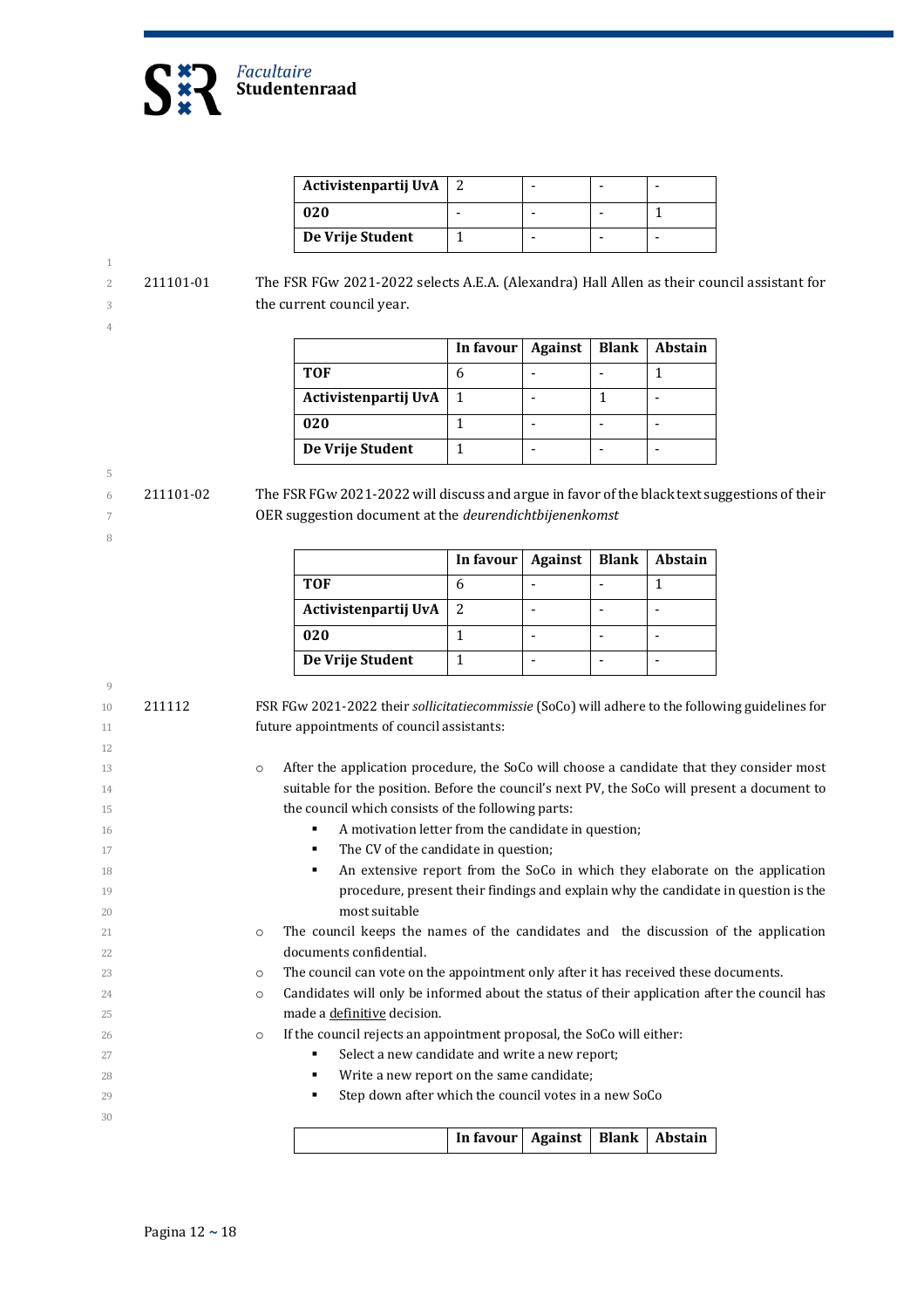

| Activistenpartij UvA |  |  |
|----------------------|--|--|
| 020                  |  |  |
| De Vrije Student     |  |  |

 211101-01 The FSR FGw 2021-2022 selects A.E.A. (Alexandra) Hall Allen as their council assistant for the current council year.

|                      | In favour $ $ | Against | <b>Blank</b> | Abstain |
|----------------------|---------------|---------|--------------|---------|
| <b>TOF</b>           | 6             |         |              |         |
| Activistenpartij UvA |               |         |              |         |
| 020                  |               |         |              |         |
| De Vrije Student     |               |         |              |         |

 211101-02 The FSR FGw 2021-2022 will discuss and argue in favor of the black text suggestions of their OER suggestion document at the *deurendichtbijenenkomst*

|                      | In favour | Against | <b>Blank</b> | <b>Abstain</b> |
|----------------------|-----------|---------|--------------|----------------|
| <b>TOF</b>           |           |         |              |                |
| Activistenpartij UvA |           |         |              |                |
| 020                  |           |         |              |                |
| De Vrije Student     |           |         |              |                |

 211112 FSR FGw 2021-2022 their *sollicitatiecommissie* (SoCo) will adhere to the following guidelines for future appointments of council assistants: 13 o After the application procedure, the SoCo will choose a candidate that they consider most 14 Suitable for the position. Before the council's next PV, the SoCo will present a document to 15 the council which consists of the following parts: **A motivation letter from the candidate in question; The CV** of the candidate in question; **An extensive report from the SoCo in which they elaborate on the application**  procedure, present their findings and explain why the candidate in question is the most suitable o The council keeps the names of the candidates and the discussion of the application documents confidential. o The council can vote on the appointment only after it has received these documents. **candidates will only be informed about the status of their application after the council has**  made a definitive decision. o If the council rejects an appointment proposal, the SoCo will either: **Select a new candidate and write a new report; Write a new report on the same candidate; Step down after which the council votes in a new SoCo In favour | Against | Blank | Abstain**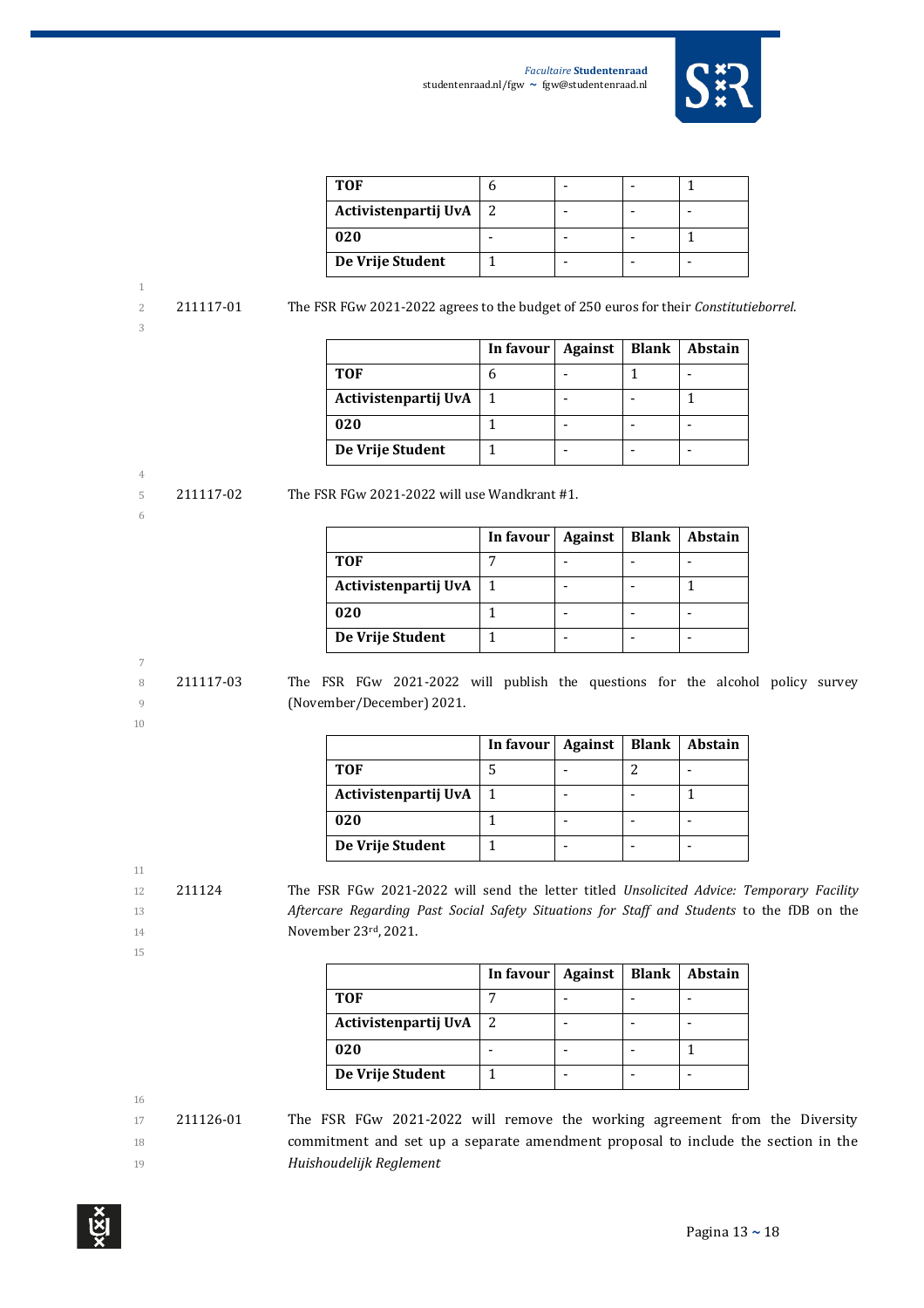

| TOF                  |  |  |
|----------------------|--|--|
| Activistenpartij UvA |  |  |
| 020                  |  |  |
| De Vrije Student     |  |  |

3

2 211117-01 The FSR FGw 2021-2022 agrees to the budget of 250 euros for their *Constitutieborrel*.

|                      | In favour | <b>Against</b> | <b>Blank</b> | Abstain |
|----------------------|-----------|----------------|--------------|---------|
| TOF                  |           |                |              |         |
| Activistenpartij UvA |           |                |              |         |
| 020                  |           |                |              |         |
| De Vrije Student     |           |                |              |         |

## 4

- 6
	-

5 211117-02 The FSR FGw 2021-2022 will use Wandkrant #1.

|                      | In favour | <b>Against</b> | <b>Blank</b> | <b>Abstain</b> |
|----------------------|-----------|----------------|--------------|----------------|
| TOF                  |           |                |              |                |
| Activistenpartij UvA |           |                |              |                |
| 020                  |           |                |              |                |
| De Vrije Student     |           |                |              |                |

#### 7

10

8 211117-03 The FSR FGw 2021-2022 will publish the questions for the alcohol policy survey 9 (November/December) 2021.

|                      | In favour | Against | <b>Blank</b> | <b>Abstain</b> |
|----------------------|-----------|---------|--------------|----------------|
| <b>TOF</b>           |           |         |              |                |
| Activistenpartij UvA |           |         |              |                |
| 020                  |           |         |              |                |
| De Vrije Student     |           |         |              |                |

12 211124 The FSR FGw 2021-2022 will send the letter titled *Unsolicited Advice: Temporary Facility*  13 *Aftercare Regarding Past Social Safety Situations for Staff and Students* to the fDB on the 14 **November 23rd, 2021.** 

15

11

|                      | In favour | Against | <b>Blank</b> | Abstain |
|----------------------|-----------|---------|--------------|---------|
| <b>TOF</b>           |           |         |              |         |
| Activistenpartij UvA |           |         |              |         |
| 020                  |           |         |              |         |
| De Vrije Student     |           |         |              |         |

16

17 211126-01 The FSR FGw 2021-2022 will remove the working agreement from the Diversity 18 commitment and set up a separate amendment proposal to include the section in the 19 *Huishoudelijk Reglement*

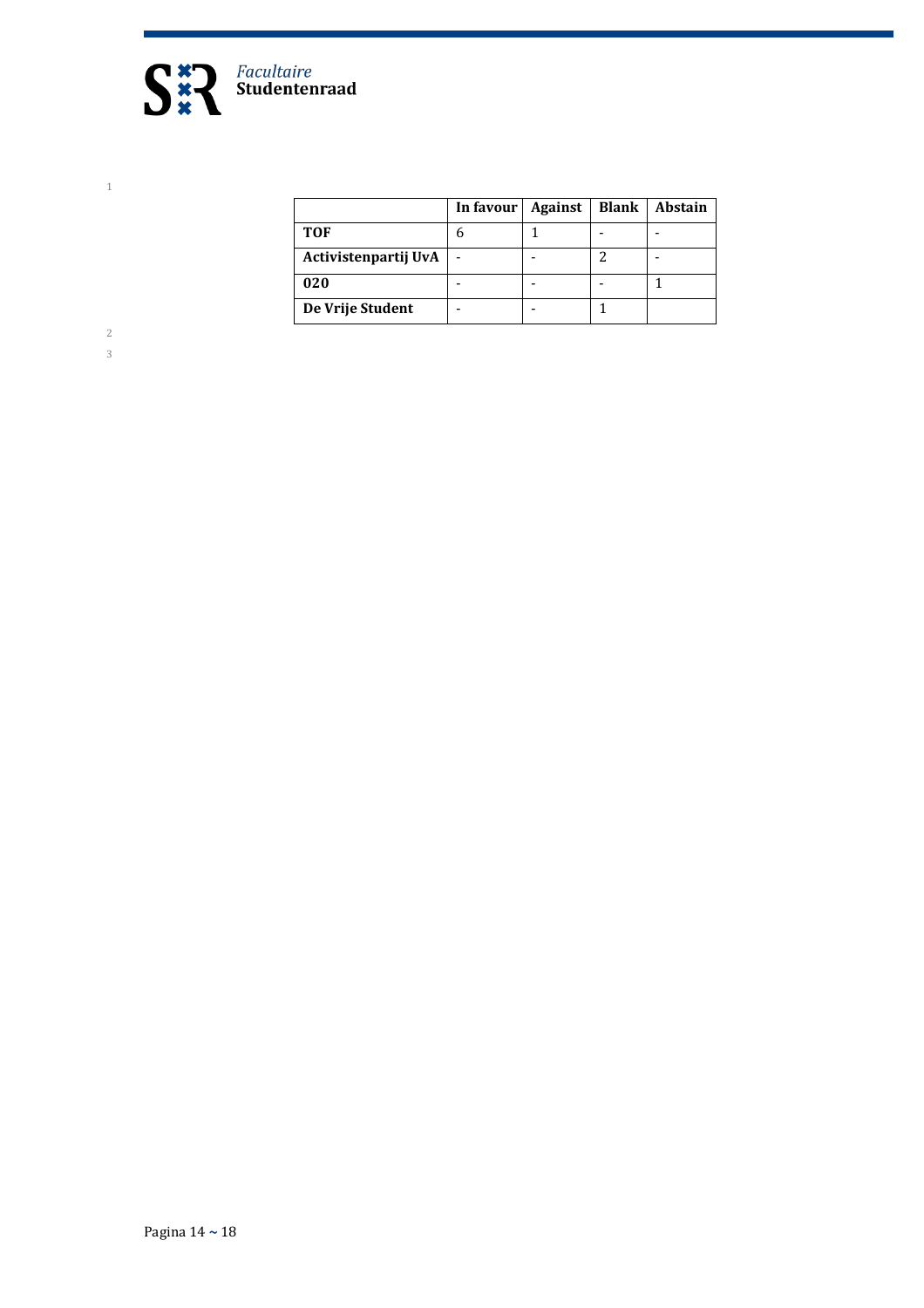

|                      | In favour | <b>Against</b> | <b>Blank</b> | Abstain |
|----------------------|-----------|----------------|--------------|---------|
| <b>TOF</b>           | h         |                |              |         |
| Activistenpartij UvA |           |                |              |         |
| 020                  |           |                |              |         |
| De Vrije Student     |           |                |              |         |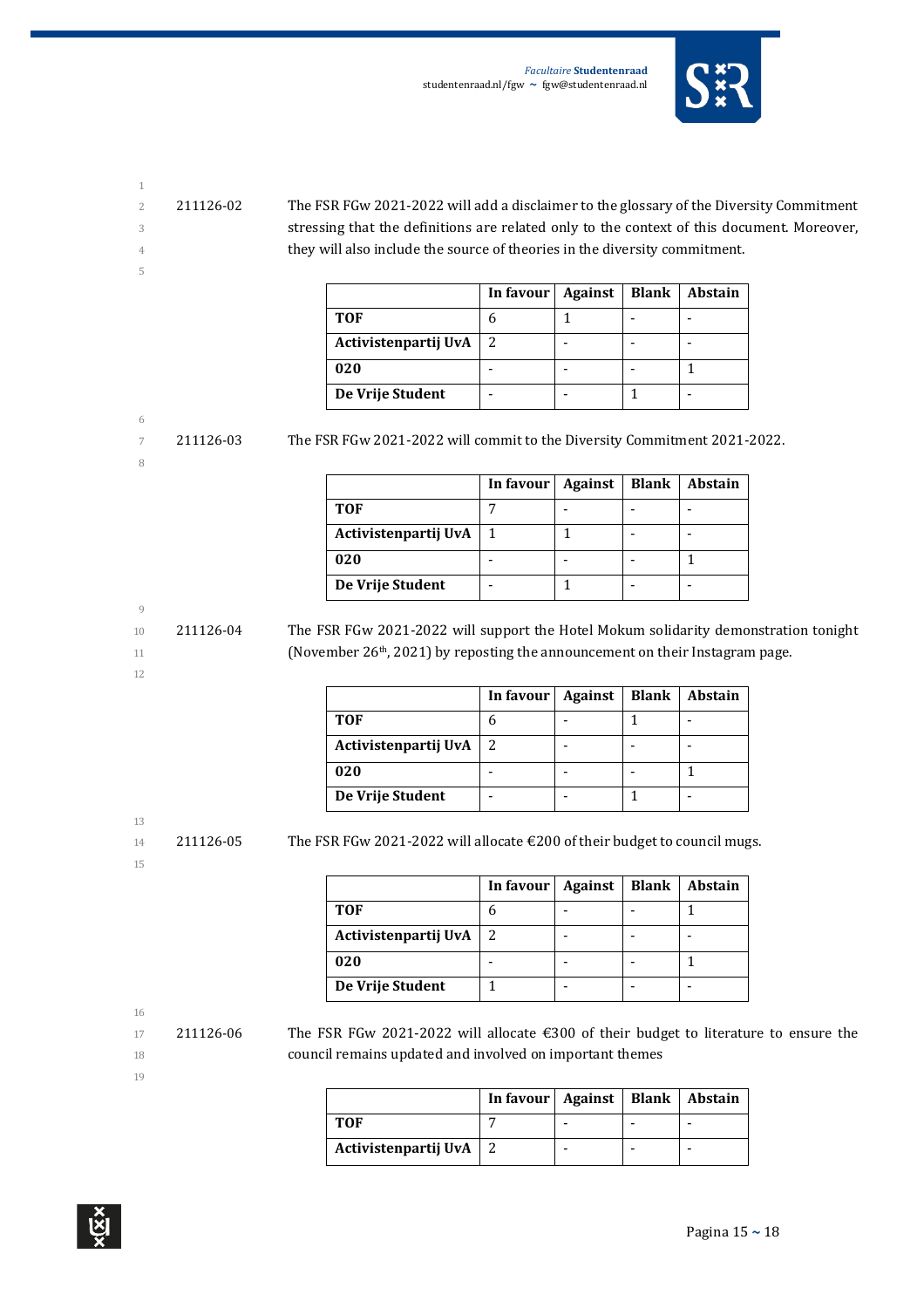

- 
- 

5

2 211126-02 The FSR FGw 2021-2022 will add a disclaimer to the glossary of the Diversity Commitment 3 stressing that the definitions are related only to the context of this document. Moreover, 4 they will also include the source of theories in the diversity commitment.

|                      | In favour $\vert$ | Against | <b>Blank</b> | <b>Abstain</b> |
|----------------------|-------------------|---------|--------------|----------------|
| <b>TOF</b>           |                   |         |              |                |
| Activistenpartij UvA |                   |         |              |                |
| 020                  |                   |         |              |                |
| De Vrije Student     |                   |         |              |                |

### 6

8

7 211126-03 The FSR FGw 2021-2022 will commit to the Diversity Commitment 2021-2022.

|                      | In favour | <b>Against</b> | <b>Blank</b> | <b>Abstain</b> |
|----------------------|-----------|----------------|--------------|----------------|
| <b>TOF</b>           |           |                |              |                |
| Activistenpartij UvA |           |                |              |                |
| 020                  |           |                |              |                |
| De Vrije Student     |           |                |              |                |

#### 9

12

10 211126-04 The FSR FGw 2021-2022 will support the Hotel Mokum solidarity demonstration tonight 11 (November 26<sup>th</sup>, 2021) by reposting the announcement on their Instagram page.

|                      | In favour | Against | <b>Blank</b> | <b>Abstain</b> |
|----------------------|-----------|---------|--------------|----------------|
| <b>TOF</b>           |           |         |              |                |
| Activistenpartij UvA | 2         |         |              |                |
| 020                  |           |         |              |                |
| De Vrije Student     |           |         |              |                |

13

15

 $14$  211126-05 The FSR FGw 2021-2022 will allocate  $\epsilon$  200 of their budget to council mugs.

|                      | In favour | Against | <b>Blank</b> | Abstain |
|----------------------|-----------|---------|--------------|---------|
| <b>TOF</b>           |           |         |              |         |
| Activistenpartij UvA |           |         |              |         |
| 020                  |           |         |              |         |
| De Vrije Student     |           |         |              |         |

16

17 211126-06 The FSR FGw 2021-2022 will allocate €300 of their budget to literature to ensure the 18 council remains updated and involved on important themes

|                          | In favour   Against   Blank   Abstain |  |  |
|--------------------------|---------------------------------------|--|--|
| тоғ                      |                                       |  |  |
| Activistenpartij UvA   2 |                                       |  |  |

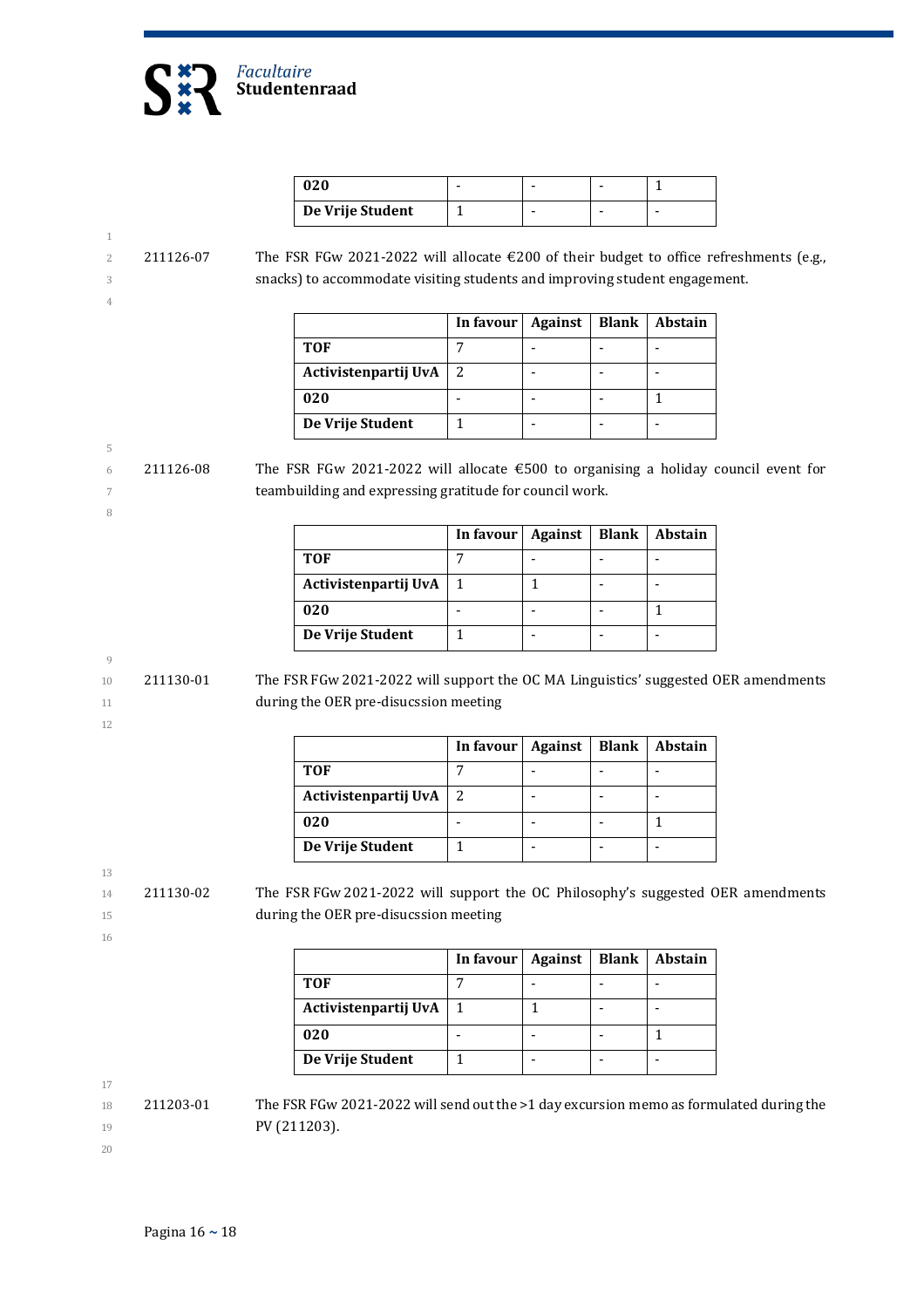

| 020              |  |   |
|------------------|--|---|
| De Vrije Student |  | - |

#### 1 2 211126-07 The FSR FGw 2021-2022 will allocate €200 of their budget to office refreshments (e.g., 3 snacks) to accommodate visiting students and improving student engagement. 4

|                      | In favour | <b>Against</b> | <b>Blank</b> | Abstain |
|----------------------|-----------|----------------|--------------|---------|
| <b>TOF</b>           |           |                |              |         |
| Activistenpartij UvA |           |                |              |         |
| 020                  |           |                |              |         |
| De Vrije Student     |           |                |              |         |

5 6 211126-08 The FSR FGw 2021-2022 will allocate  $\epsilon$  500 to organising a holiday council event for 7 teambuilding and expressing gratitude for council work.

|                      | In favour | Against | <b>Blank</b> | Abstain |
|----------------------|-----------|---------|--------------|---------|
| <b>TOF</b>           |           |         |              |         |
| Activistenpartij UvA |           |         |              |         |
| 020                  |           |         |              |         |
| De Vrije Student     |           |         |              |         |

$$
9\phantom{.00}
$$

10 211130-01 The FSR FGw 2021-2022 will support the OC MA Linguistics' suggested OER amendments 11 **during the OER pre-disucssion meeting** 

12

8

|                          | In favour   Against   Blank   Abstain |  |  |
|--------------------------|---------------------------------------|--|--|
| <b>TOF</b>               |                                       |  |  |
| Activistenpartij UvA   2 |                                       |  |  |
| 020                      |                                       |  |  |
| De Vrije Student         |                                       |  |  |

13

14 211130-02 The FSR FGw 2021-2022 will support the OC Philosophy's suggested OER amendments 15 during the OER pre-disucssion meeting

16

|                      | In favour | Against | <b>Blank</b> | Abstain |
|----------------------|-----------|---------|--------------|---------|
| <b>TOF</b>           |           |         |              |         |
| Activistenpartij UvA |           |         |              |         |
| 020                  |           |         |              |         |
| De Vrije Student     |           |         |              |         |

- $18$  211203-01 The FSR FGw 2021-2022 will send out the >1 day excursion memo as formulated during the 19 **PV (211203).**
- 20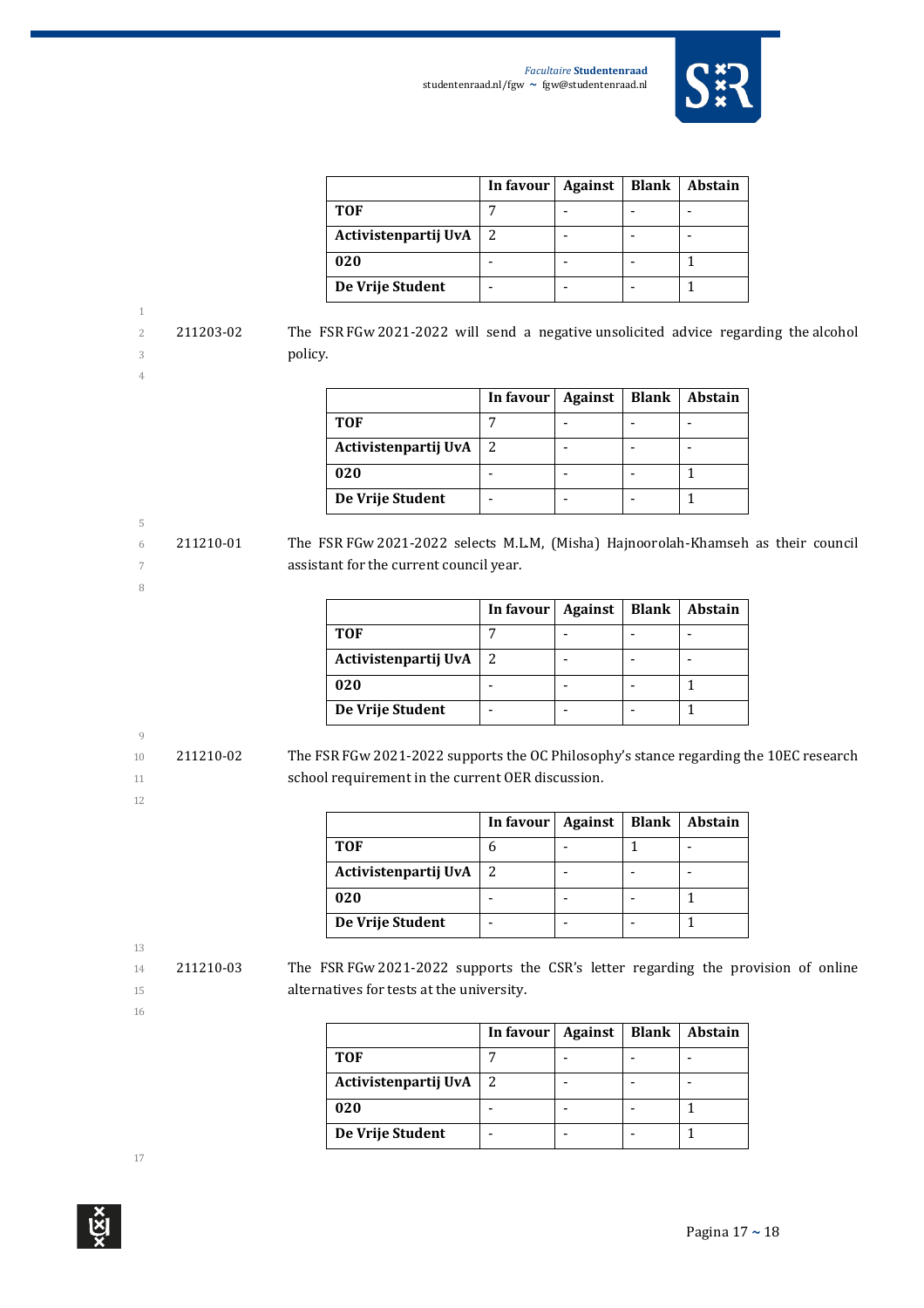

|                      | In favour $\vert$ | Against | <b>Blank</b> | Abstain |
|----------------------|-------------------|---------|--------------|---------|
| <b>TOF</b>           |                   |         |              |         |
| Activistenpartij UvA |                   |         |              |         |
| 020                  |                   |         |              |         |
| De Vrije Student     |                   |         |              |         |

2 211203-02 The FSR FGw 2021-2022 will send a negative unsolicited advice regarding the alcohol 3 policy.

5

8

|                      | In favour | Against | <b>Blank</b> | <b>Abstain</b> |
|----------------------|-----------|---------|--------------|----------------|
| <b>TOF</b>           |           |         |              |                |
| Activistenpartij UvA |           |         |              |                |
| 020                  |           |         |              |                |
| De Vrije Student     |           |         |              |                |

6 211210-01 The FSR FGw 2021-2022 selects M.L.M, (Misha) Hajnoorolah-Khamseh as their council 7 assistant for the current council year.

|                      | In favour $\vert$ | Against | Blank | Abstain |
|----------------------|-------------------|---------|-------|---------|
| <b>TOF</b>           |                   |         |       |         |
| Activistenpartij UvA |                   |         |       |         |
| 020                  |                   |         |       |         |
| De Vrije Student     |                   |         |       |         |

# 9

10 211210-02 The FSR FGw 2021-2022 supports the OC Philosophy's stance regarding the 10EC research 11 school requirement in the current OER discussion.

|                      | In favour | Against | <b>Blank</b> | <b>Abstain</b> |
|----------------------|-----------|---------|--------------|----------------|
| <b>TOF</b>           |           |         |              |                |
| Activistenpartij UvA |           |         |              |                |
| 020                  |           |         |              |                |
| De Vrije Student     |           |         |              |                |

13

12

16

14 211210-03 The FSR FGw 2021-2022 supports the CSR's letter regarding the provision of online 15 alternatives for tests at the university.

|                      | In favour | <b>Against</b> | <b>Blank</b> | Abstain |
|----------------------|-----------|----------------|--------------|---------|
| <b>TOF</b>           |           |                |              |         |
| Activistenpartij UvA | 2         |                |              |         |
| 020                  |           |                |              |         |
| De Vrije Student     |           |                |              |         |